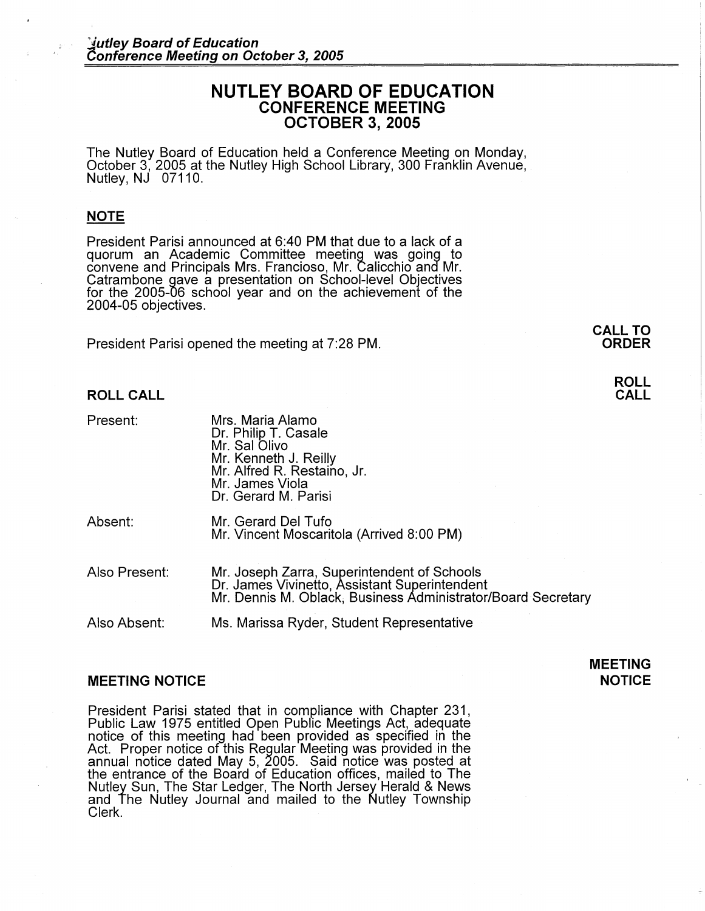# **NUTLEY BOARD OF EDUCATION CONFERENCE MEETING OCTOBER 3, 2005**

The Nutley Board of Education held a Conference Meeting on Monday,<br>October 3, 2005 at the Nutley High School Library, 300 Franklin Avenue, Nutley, NJ 07110.

## **NOTE**

President Parisi announced at 6:40 PM that due to a lack of a quorum an Academic Committee meeting was going to convene and Principals Mrs. Franciosa, Mr. Calicchio and Mr. Catrambone gave a presentation on School-level Objectives for the 2005-06 school year and on the achievement of the 2004-05 objectives.

President Parisi opened the meeting at 7:28 PM.

**ROLL CALL** 

Present:

| Mrs. Maria Alamo            |  |
|-----------------------------|--|
| Dr. Philip T. Casale        |  |
| Mr. Sal Olivo               |  |
| Mr. Kenneth J. Reilly       |  |
| Mr. Alfred R. Restaino, Jr. |  |
| Mr. James Viola             |  |
| Dr. Gerard M. Parisi        |  |
|                             |  |

Absent:

Mr. Gerard Del Tufo Mr. Vincent Moscaritola (Arrived 8:00 PM)

Also Present: Mr. Joseph Zarra, Superintendent of Schools Dr. James Vivinetto, Assistant Superintendent Mr. Dennis M. Oblack; Business Administrator/Board Secretary

Also Absent: Ms. Marissa Ryder, Student Representative

## **MEETING NOTICE**

### **MEETING NOTICE**

President Parisi stated that in compliance with Chapter 231, Public Law 1975 entitled Open Pubfic Meetings Act, adequate notice of this meeting had been provided as specified in the Act. Proper notice of this Regular Meeting was provided in the annual notice dated May 5, 2005. Said notice was posted at the entrance of the Board of Education offices, mailed to The Nutley Sun, The Star Ledger, The North Jersey Herald & News and The Nutley Journal and mailed to the Nutley Township Clerk.

**CALL TO ORDER** 

## **ROLL CALL**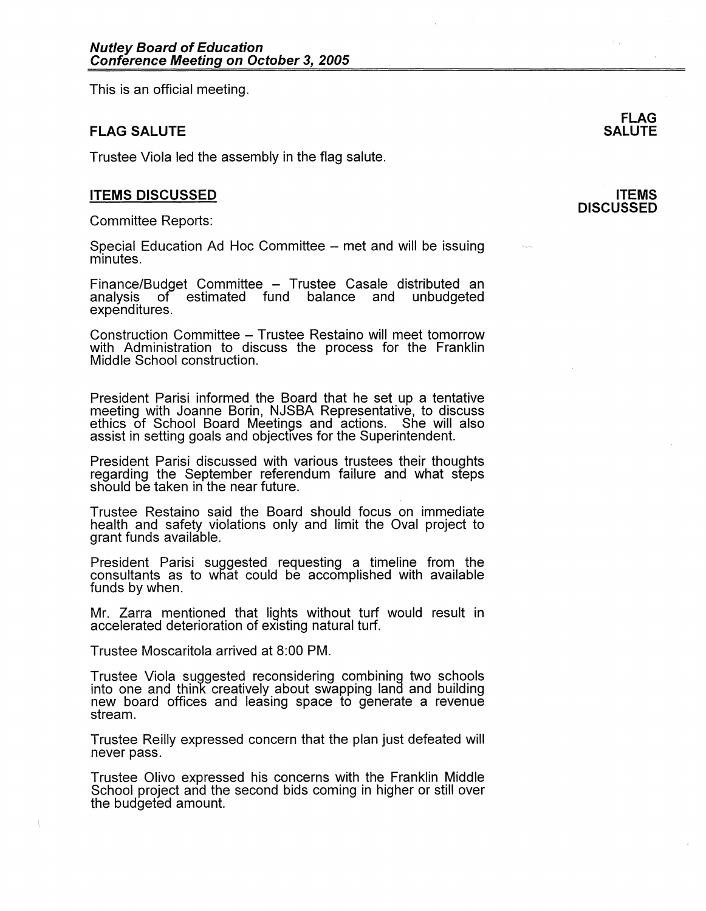This is an official meeting.

## **FLAG SALUTE**

Trustee Viola led the assembly in the flag salute.

## **ITEMS DISCUSSED**

Committee Reports:

Special Education Ad Hoc Committee – met and will be issuing minutes.

Finance/Budget Committee – Trustee Casale distributed an<br>analysis of estimated fund balance and unbudgeted analysis of estimated fund balance and expenditures.

Construction Committee - Trustee Restaino will meet tomorrow with Administration to discuss the process for the Franklin Middle School construction.

President Parisi informed the Board that he set up a tentative meeting with Joanne Borin, NJSBA Representative, to discuss ethics of School Board Meetings and actions. She will also assist in setting goals and objectives for the Superintendent.

President Parisi discussed with various trustees their thoughts regarding the September referendum failure and what steps should be taken in the near future.

Trustee Restaino said the Board should focus on immediate health and safety violations only and limit the Oval project to grant funds available.

President Parisi suggested requesting a timeline from the consultants as to what could be accomplished with available funds by when.

Mr. Zarra mentioned that lights without turf would result in accelerated deterioration of existing natural turf.

Trustee Moscaritola arrived at 8:00 PM.

Trustee Viola suggested reconsidering combining two schools into one and think creatively about swapping land and building new board offices and leasing space to generate a revenue stream.

Trustee Reilly expressed concern that the plan just defeated will never pass.

Trustee Olivo expressed his concerns with the Franklin Middle School project and the second bids coming in higher or still over the budgeted amount.

# **SALUTE**

**ITEMS DISCUSSED** 

**FLAG**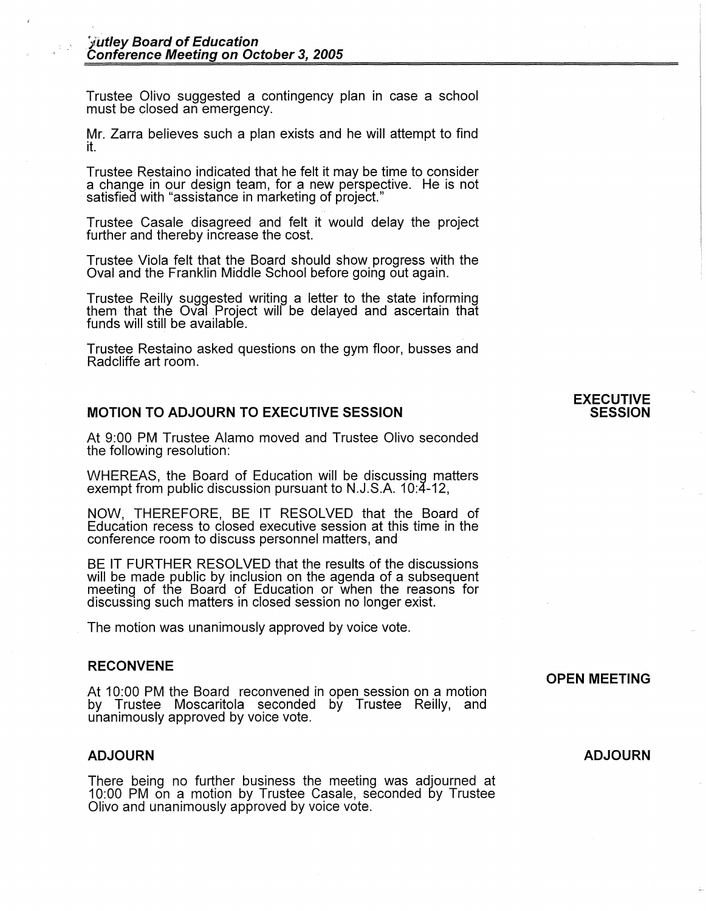Trustee Olivo suggested a contingency plan in case a school must be closed an emergency.

Mr. Zarra believes such a plan exists and he will attempt to find it.

Trustee Restaino indicated that he felt it may be time to consider a change in our design team, for a new perspective. He is not satisfied with "assistance in marketing of project."

Trustee Casale disagreed and felt it would delay the project further and thereby increase the cost.

Trustee Viola felt that the Board should show progress with the Oval and the Franklin Middle School before going out again.

Trustee Reilly suggested writing a letter to the state informing them that the Oval Project will be delayed and ascertain that funds will still be available.

Trustee Restaino asked questions on the gym floor, busses and Radcliffe art room.

## **MOTION TO ADJOURN TO EXECUTIVE SESSION**

At 9:00 PM Trustee Alamo moved and Trustee Olivo seconded the following resolution:

WHEREAS, the Board of Education will be discussing matters exempt from public discussion pursuant to N.J.S.A. 10:4-12,

NOW, THEREFORE, BE IT RESOLVED that the Board of Education recess to closed executive session at this time in the conference room to discuss personnel matters, and

BE IT FURTHER RESOLVED that the results of the discussions will be made public by inclusion on the agenda of a subsequent meeting of the Board of Education or when the reasons for discussing such matters in closed session no longer exist.

The motion was unanimously approved by voice vote.

### **RECONVENE**

At 10:00 PM the Board reconvened in open session on a motion by Trustee Moscaritola seconded by Trustee Reilly, and unanimously approved by voice vote.

### **ADJOURN**

There being no further business the meeting was adjourned at 10:00 PM on a motion by Trustee Casale, seconded by Trustee Olivo and unanimously approved by voice vote.

### **EXECUTIVE SESSION**

# **OPEN MEETING**

**ADJOURN**